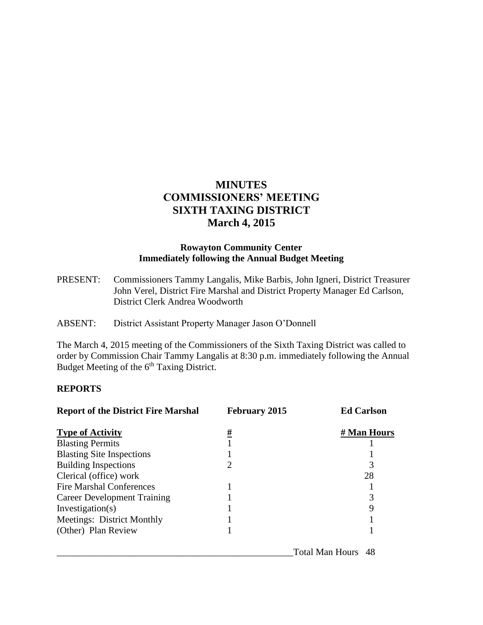# **MINUTES COMMISSIONERS' MEETING SIXTH TAXING DISTRICT March 4, 2015**

## **Rowayton Community Center Immediately following the Annual Budget Meeting**

PRESENT: Commissioners Tammy Langalis, Mike Barbis, John Igneri, District Treasurer John Verel, District Fire Marshal and District Property Manager Ed Carlson, District Clerk Andrea Woodworth

ABSENT: District Assistant Property Manager Jason O'Donnell

The March 4, 2015 meeting of the Commissioners of the Sixth Taxing District was called to order by Commission Chair Tammy Langalis at 8:30 p.m. immediately following the Annual Budget Meeting of the 6<sup>th</sup> Taxing District.

#### **REPORTS**

| <b>Report of the District Fire Marshal</b> | <b>February 2015</b> | <b>Ed Carlson</b>     |
|--------------------------------------------|----------------------|-----------------------|
| <b>Type of Activity</b>                    | <u>#</u>             | # Man Hours           |
| <b>Blasting Permits</b>                    |                      |                       |
| <b>Blasting Site Inspections</b>           |                      |                       |
| <b>Building Inspections</b>                | 2                    | 3                     |
| Clerical (office) work                     |                      | 28                    |
| <b>Fire Marshal Conferences</b>            |                      |                       |
| Career Development Training                |                      | 3                     |
| Investigation(s)                           |                      |                       |
| Meetings: District Monthly                 |                      |                       |
| (Other) Plan Review                        |                      |                       |
|                                            |                      | Total Man Hours<br>48 |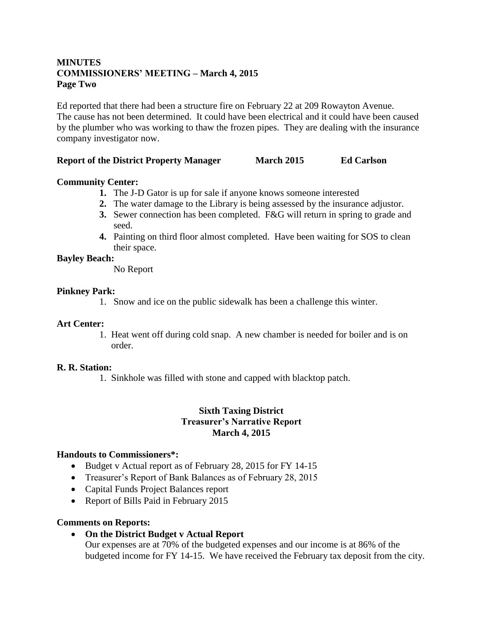## **MINUTES COMMISSIONERS' MEETING – March 4, 2015 Page Two**

Ed reported that there had been a structure fire on February 22 at 209 Rowayton Avenue. The cause has not been determined. It could have been electrical and it could have been caused by the plumber who was working to thaw the frozen pipes. They are dealing with the insurance company investigator now.

### **Report of the District Property Manager March 2015 Ed Carlson**

## **Community Center:**

- **1.** The J-D Gator is up for sale if anyone knows someone interested
- **2.** The water damage to the Library is being assessed by the insurance adjustor.
- **3.** Sewer connection has been completed. F&G will return in spring to grade and seed.
- **4.** Painting on third floor almost completed. Have been waiting for SOS to clean their space.

## **Bayley Beach:**

No Report

#### **Pinkney Park:**

1. Snow and ice on the public sidewalk has been a challenge this winter.

#### **Art Center:**

1. Heat went off during cold snap. A new chamber is needed for boiler and is on order.

#### **R. R. Station:**

1. Sinkhole was filled with stone and capped with blacktop patch.

#### **Sixth Taxing District Treasurer's Narrative Report March 4, 2015**

#### **Handouts to Commissioners\*:**

- Budget v Actual report as of February 28, 2015 for FY 14-15
- Treasurer's Report of Bank Balances as of February 28, 2015
- Capital Funds Project Balances report
- Report of Bills Paid in February 2015

#### **Comments on Reports:**

**On the District Budget v Actual Report**

Our expenses are at 70% of the budgeted expenses and our income is at 86% of the budgeted income for FY 14-15. We have received the February tax deposit from the city.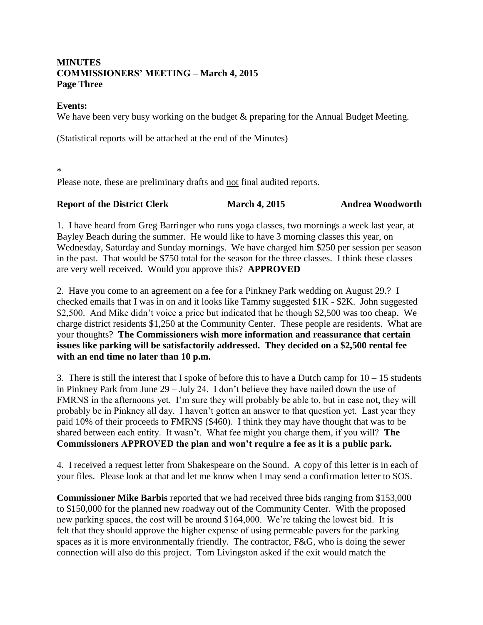## **MINUTES COMMISSIONERS' MEETING – March 4, 2015 Page Three**

#### **Events:**

We have been very busy working on the budget  $\&$  preparing for the Annual Budget Meeting.

(Statistical reports will be attached at the end of the Minutes)

\*

Please note, these are preliminary drafts and not final audited reports.

## **Report of the District Clerk March 4, 2015 Andrea Woodworth**

1. I have heard from Greg Barringer who runs yoga classes, two mornings a week last year, at Bayley Beach during the summer. He would like to have 3 morning classes this year, on Wednesday, Saturday and Sunday mornings. We have charged him \$250 per session per season in the past. That would be \$750 total for the season for the three classes. I think these classes are very well received. Would you approve this? **APPROVED**

2. Have you come to an agreement on a fee for a Pinkney Park wedding on August 29.? I checked emails that I was in on and it looks like Tammy suggested \$1K - \$2K. John suggested \$2,500. And Mike didn't voice a price but indicated that he though \$2,500 was too cheap. We charge district residents \$1,250 at the Community Center. These people are residents. What are your thoughts? **The Commissioners wish more information and reassurance that certain issues like parking will be satisfactorily addressed. They decided on a \$2,500 rental fee with an end time no later than 10 p.m.**

3. There is still the interest that I spoke of before this to have a Dutch camp for  $10 - 15$  students in Pinkney Park from June 29 – July 24. I don't believe they have nailed down the use of FMRNS in the afternoons yet. I'm sure they will probably be able to, but in case not, they will probably be in Pinkney all day. I haven't gotten an answer to that question yet. Last year they paid 10% of their proceeds to FMRNS (\$460). I think they may have thought that was to be shared between each entity. It wasn't. What fee might you charge them, if you will? **The Commissioners APPROVED the plan and won't require a fee as it is a public park.**

4. I received a request letter from Shakespeare on the Sound. A copy of this letter is in each of your files. Please look at that and let me know when I may send a confirmation letter to SOS.

**Commissioner Mike Barbis** reported that we had received three bids ranging from \$153,000 to \$150,000 for the planned new roadway out of the Community Center. With the proposed new parking spaces, the cost will be around \$164,000. We're taking the lowest bid. It is felt that they should approve the higher expense of using permeable pavers for the parking spaces as it is more environmentally friendly. The contractor, F&G, who is doing the sewer connection will also do this project. Tom Livingston asked if the exit would match the